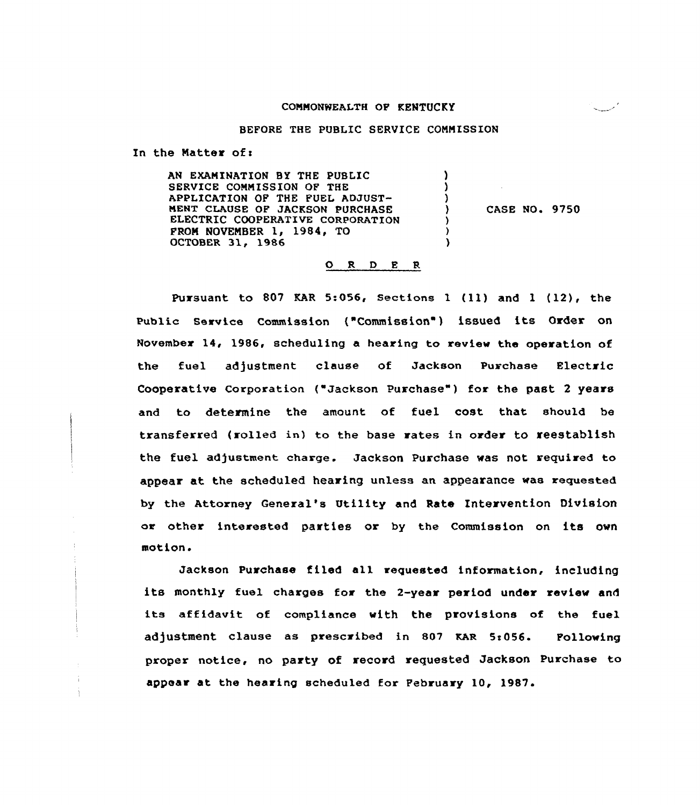#### coMMONNEALTH oF KENTUCKY

كسمسة يباينها

### BEFORE THE PUBLIC SERVICE COMMISSION

In the Matter of:

AN EXAMINATION BY THE PUBLIC J. SERVICE COMMISSION OF THE A APPLICATION OF THE FUEL ADJUST-MENT CLAUSE OF JACKSON PURCHASE CAsE No. 9750 ELECTRIC COOPERATIVE CORPORATION FROM NOVEMBER 1, 1984, TO OCTOBER 31, 1986

### O R D E R

Pursuant to <sup>807</sup> KAR 5:056, Sections <sup>1</sup> (ll) and <sup>1</sup> (12), the Public Service Commission ("Commission ) issued its Order on November 14, 1986, scheduling a hearing to review the operation of the fuel adjustment clause of Jackson Purchase Electric Cooperative Corporation ("Jackson Purchase") for the past 2 years and to determine the amount. of fuel cost that should be transferred (rolled in) to the base rates in order to reestablish the fuel adjustment charge. Jackson Purchase was not required to appear at the scheduled hearing unless an appearance was requested by the Attorney General's Utility and Rate Intervention Division or other interested parties or by the Commission on its own motion.

Jackson Purchase filed all requested information, including its monthly fuel charges for the 2-year period under review and its affidavit of compliance with the provisions of the fuel adjustment clause as prescribed in 807 KAR 5:056. Pollowing proper notice< no party of record requested Jackson Purchase to appear at the hearing scheduled for February 10, 1987.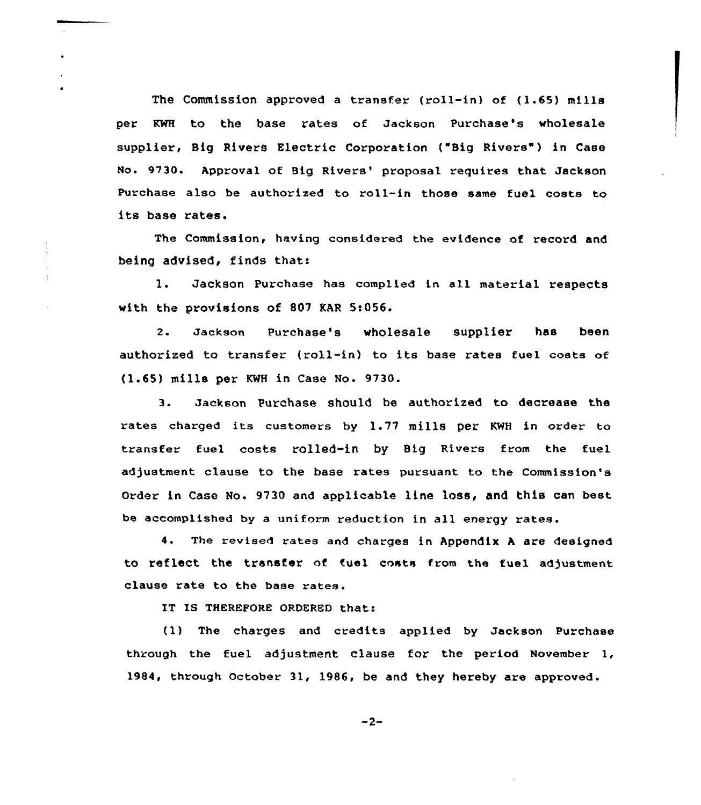The Commission approved a transfer (roll-in) of (1.65) mills per KWH to the base rates of Jackson Purchase's wholesale supplier, Big Rivers Electric Corporation ("Big Rivers") in Case No. 9730. Approval of Big Rivers' proposal requires that Jackson Purchase also be authorized to roll-in those same fuel costs to its base rates.

The Commission, having considered the evidence of record and being advised, finds thats

l. Jackson Purchase has complied in all material respects with the provisions of 807 KAR 5:056.

2. Jackson Purchase's wholesale supplier has been authorised to transfer (roll-in) to its base rates fuel costs of {1.65)mills per KNH in Case No. 9730.

3. Jackson Purchase should be authorized to decrease the rates charged its customers by 1.77 mills per KWH in order to transfer fuel costs rolled-in by Big Rivers from the fuel adjustment clause to the base rates pursuant to the Commission's Order in Case No. 9730 and applicable line loss, and this can best be accomplished by a uniform reduction in all energy rates.

4. The revised rates and charges in Appendix <sup>A</sup> are designed to reflect the transfer of fuel costs from the fuel adjustment clause rate to the base rates.

IT IS THEREFORE ORDERED that:

(1) The charges and credits applied by Jackson Puxchase through the fuel adjustment clause for the pexiod November 1, 1984, through October 31, 1986, be and they hereby are approved.

 $-2-$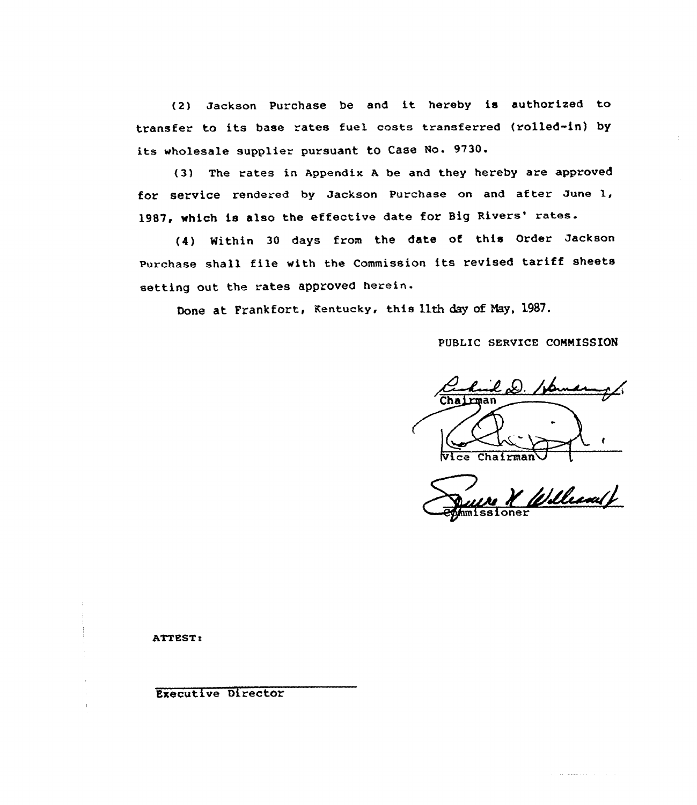(2) Jackson Purchase be and it hereby is authorized to transfer to its base rates fuel costs transferred (rolled-in) by its wholesale supplier pursuant to Case No. 9730.

(3) The rates in Appendix <sup>A</sup> be and they hereby are approved for service rendered by Jackson Purchase on and after June 1, 1987, which is also the effective date for Big Rivers' rates.

(4) Within <sup>30</sup> days from the date of this Order Jackson Purchase shall file with the Commission its revised tariff sheets setting out the rates approved herein.

Done at Frankfort, Kentucky, this 11th day of May, 1987.

PUBLIC SERVICE COMMISSION

D. /js.  $N$ ice Chairman

William /

والبابات والتتمطط عداد

ATTEST.

Executive Director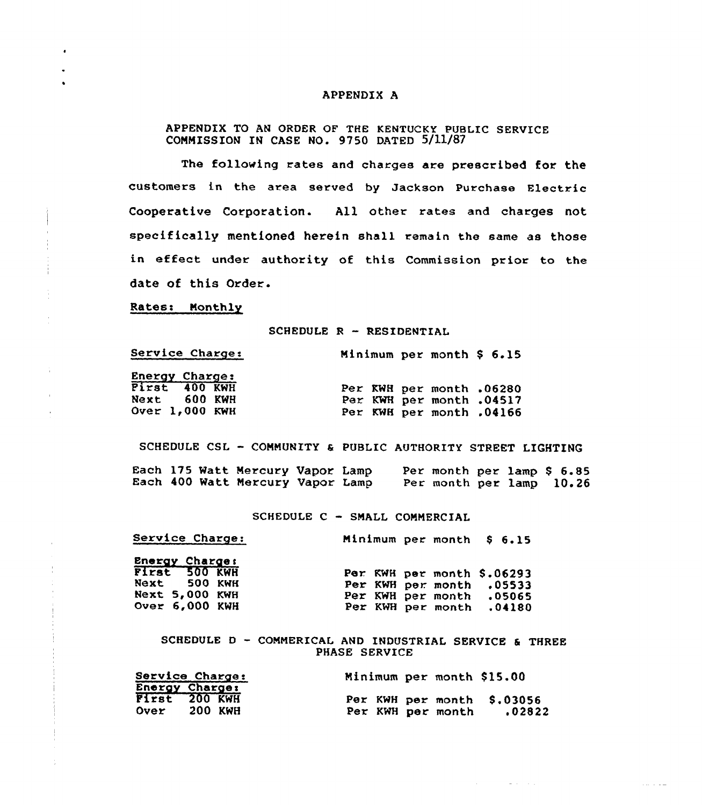# APPENDIX A

APPENDIX TO AN ORDER OF THE KENTUCKY PUBLIC SERVICE COMMISSION IN CASE NO. 9750 DATED 5/11/87

The following rates and charges are prescribed for the customers in the area served by Jackson Purchase Electric Cooperative Corporation. A11, other rates and charges not specifically mentioned herein shall remain the same as those in effect under authority of this Commission prior to the date of this Order.

Rates: Monthly

 $\epsilon$ 

 $\mathbf{u}$ 

#### SCHEDULE R - RESIDENTIAL

| Service Charge:       | Minimum per month $$6.15$ |  |
|-----------------------|---------------------------|--|
| <b>Energy Charge:</b> |                           |  |
| First 400 KWH         | Per KWH per month .06280  |  |
| Next 600 KWH          | Per KWH per month .04517  |  |
| Over 1,000 KWH        | Per KWH per month .04166  |  |

SCHEDULE CSL —COMMUNITY & PUBLIC AUTHORITY STREET LIGHTING Each 175 Watt Mercury Vapor Lamp Each 400 Watt Mercury Vapor Lamp Per month per lamp \$ 6.85 Per month per lamp 10.26

#### SCHEDULE C - SMALL COMMERCIAL

| Service Charge: | Minimum per month \$ 6.15 |  |  |
|-----------------|---------------------------|--|--|
|                 |                           |  |  |

| Energy Charge:        |                            |  |
|-----------------------|----------------------------|--|
| First 500 KWH         | Per KWH per month \$.06293 |  |
| Next 500 KWH          | Per KWH per month .05533   |  |
| Next 5,000 KWH        | Per KWH per month .05065   |  |
| <b>Over 6.000 KWH</b> | Per KWH per month .04180   |  |

SCHEDULE <sup>D</sup> — COMMERICAL AND INDUSTRIAI SERVICE & THREE PHASE SERVICE

 $\mathcal{A}^{\mathcal{A}}$  , and  $\mathcal{A}^{\mathcal{A}}$  , and  $\mathcal{A}^{\mathcal{A}}$  , and  $\mathcal{A}^{\mathcal{A}}$ 

|             | Service Charge:                                   | Minimum per month \$15.00 |  |                                      |
|-------------|---------------------------------------------------|---------------------------|--|--------------------------------------|
| <b>Over</b> | <b>Energy Charge:</b><br>First 200 KWH<br>200 KWH | Per KWH per month         |  | Per KWH per month \$.03056<br>.02822 |